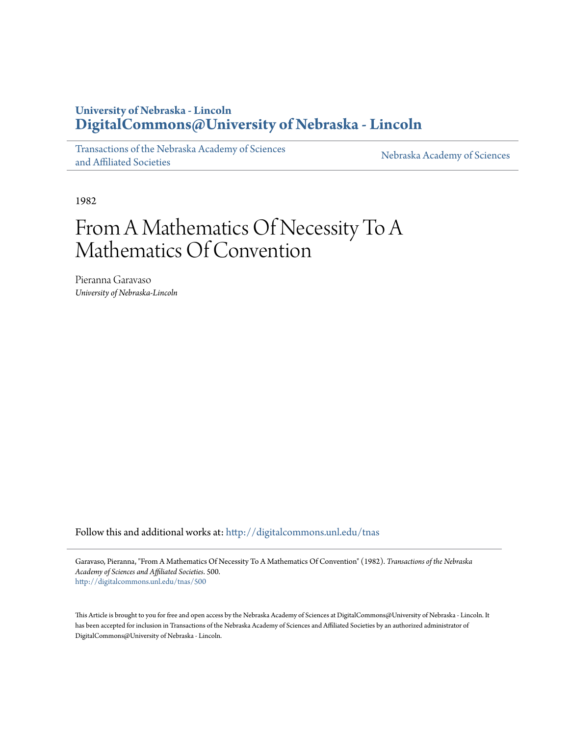# **University of Nebraska - Lincoln [DigitalCommons@University of Nebraska - Lincoln](http://digitalcommons.unl.edu?utm_source=digitalcommons.unl.edu%2Ftnas%2F500&utm_medium=PDF&utm_campaign=PDFCoverPages)**

[Transactions of the Nebraska Academy of Sciences](http://digitalcommons.unl.edu/tnas?utm_source=digitalcommons.unl.edu%2Ftnas%2F500&utm_medium=PDF&utm_campaign=PDFCoverPages) [and Affiliated Societies](http://digitalcommons.unl.edu/tnas?utm_source=digitalcommons.unl.edu%2Ftnas%2F500&utm_medium=PDF&utm_campaign=PDFCoverPages)

[Nebraska Academy of Sciences](http://digitalcommons.unl.edu/nebacadsci?utm_source=digitalcommons.unl.edu%2Ftnas%2F500&utm_medium=PDF&utm_campaign=PDFCoverPages)

1982

# From A Mathematics Of Necessity To A Mathematics Of Convention

Pieranna Garavaso *University of Nebraska-Lincoln*

Follow this and additional works at: [http://digitalcommons.unl.edu/tnas](http://digitalcommons.unl.edu/tnas?utm_source=digitalcommons.unl.edu%2Ftnas%2F500&utm_medium=PDF&utm_campaign=PDFCoverPages)

Garavaso, Pieranna, "From A Mathematics Of Necessity To A Mathematics Of Convention" (1982). *Transactions of the Nebraska Academy of Sciences and Affiliated Societies*. 500. [http://digitalcommons.unl.edu/tnas/500](http://digitalcommons.unl.edu/tnas/500?utm_source=digitalcommons.unl.edu%2Ftnas%2F500&utm_medium=PDF&utm_campaign=PDFCoverPages)

This Article is brought to you for free and open access by the Nebraska Academy of Sciences at DigitalCommons@University of Nebraska - Lincoln. It has been accepted for inclusion in Transactions of the Nebraska Academy of Sciences and Affiliated Societies by an authorized administrator of DigitalCommons@University of Nebraska - Lincoln.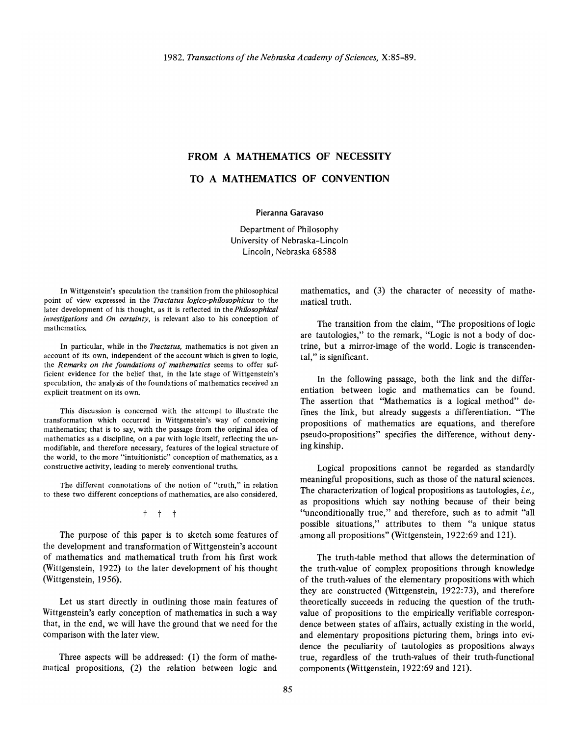## **FROM A MATHEMATICS OF NECESSITY**

# **TO A MATHEMATICS OF CONVENTION**

Pieranna Garavaso

Department of Philosophy University of Nebraska-Lincoln Lincoln, Nebraska 68588

In Wittgenstein's speculation the transition from the philosophical point of view expressed in the *Tractatus logico-philosophicus* to the later development of his thought, as it is reflected in the *Philosophical investigations* and *On certainty,* is relevant also to his conception of mathematics.

In particular, while in the *Tractatus,* mathematics is not given an account of its own, independent of the account which is given to logic, the *Remarks on the foundations of mathematics* seems to offer sufficient evidence for the belief that, in the late stage of Wittgenstein's speculation, the analysis of the foundations of mathematics received an explicit treatment on its own.

This discussion is concerned with the attempt to illustrate the transformation which occurred in Wittgenstein's way of conceiving mathematics; that is to say, with the passage from the original idea of mathematics as a discipline, on a par with logic itself, reflecting the unmodifiable, and therefore necessary, features of the logical structure of the world, to the more "intuitionistic" conception of mathematics, as a constructive activity, leading to merely conventional truths.

The different connotations of the notion of "truth," in relation to these two different conceptions of mathematics, are also considered.

t t t

The purpose of this paper is to sketch some features of the development and transformation of Wittgenstein's account of mathematics and mathematical truth from his first work (Wittgenstein, 1922) to the later development of his thought (Wittgenstein, 1956).

Let us start directly in outlining those main features of Wittgenstein's early conception of mathematics in such a way that, in the end, we will have the ground that we need for the comparison with the later view.

Three aspects will be addressed: (1) the form of mathematical propositions, (2) the relation between logic and

mathematics, and (3) the character of necessity of mathematical truth.

The transition from the claim, "The propositions of logic are tautologies," to the remark, "Logic is not a body of doctrine, but a mirror-image of the world. Logic is transcendental," is significant.

In the following passage, both the link and the differentiation between logic and mathematics can be found. The assertion that "Mathematics is a logical method" defines the link, but already suggests a differentiation. "The propositions of mathematics are equations, and therefore pseudo-propositions" specifies the difference, without denying kinship.

Logical propositions cannot be regarded as standardly meaningful propositions, such as those of the natural sciences. The characterization of logical propositions as tautologies, *i. e.,*  as propositions which say nothing because of their being "unconditionally true," and therefore, such as to admit "all possible situations," attributes to them "a unique status among all propositions" (Wittgenstein, 1922:69 and 121).

The truth-table method that allows the determination of the truth-value of complex propositions through knowledge of the truth-values of the elementary propositions with which they are constructed (Wittgenstein, 1922:73), and therefore theoretically succeeds in reducing the question of the truthvalue of propositions to the empirically verifiable correspondence between states of affairs, actually existing in the world, and elementary propositions picturing them, brings into evidence the peculiarity of tautologies as propositions always true, regardless of the truth-values of their truth-functional components (Wittgenstein, 1922:69 and 121).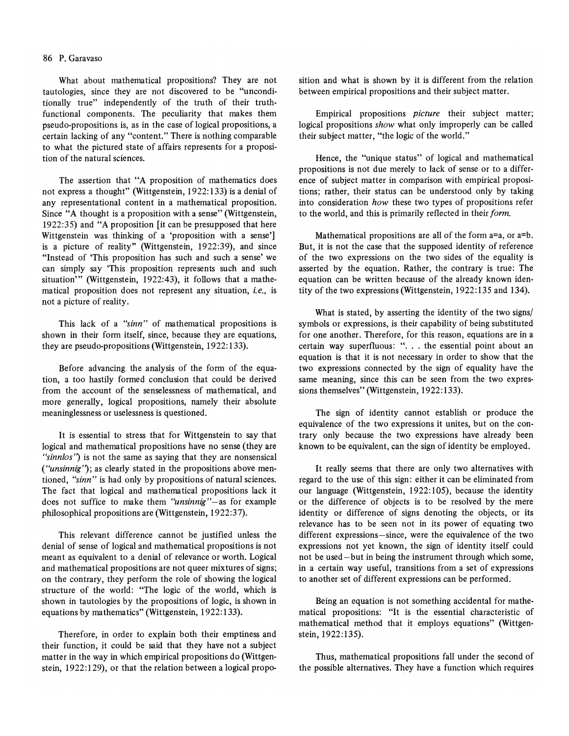#### 86 P. Garavaso

What about mathematical propositions? They are not tautologies, since they are not discovered to be "unconditionally true" independently of the truth of their truthfunctional components. The peculiarity that makes them pseudo-propositions is, as in the case of logical propositions, a certain lacking of any "content." There is nothing comparable to what the pictured state of affairs represents for a proposition of the natural sciences.

The assertion that "A proposition of mathematics does not express a thought" (Wittgenstein, 1922: 133) is a denial of any representational content in a mathematical proposition. Since "A thought is a proposition with a sense" (Wittgenstein, 1922:35) and "A proposition [it can be presupposed that here Wittgenstein was thinking of a 'proposition with a sense'] is a picture of reality" (Wittgenstein, 1922:39), and since "Instead of 'This proposition has such and such a sense' we can simply say 'This proposition represents such and such situation'" (Wittgenstein, 1922:43), it follows that a mathematical proposition does not represent any situation, *i.e.,* is not a picture of reality.

This lack of a *"sinn"* of mathematical propositions is shown in their form itself, since, because they are equations, they are pseudo-propositions (Wittgenstein,  $1922:133$ ).

Before advancing the analysis of the form of the equation, a too hastily formed conclusion that could be derived from the account of the senselessness of mathematical, and more generally, logical propositions, namely their absolute meaninglessness or uselessness is questioned.

It is essential to stress that for Wittgenstein to say that logical and mathematical propositions have no sense (they are *"sinnlos")* is not the same as saying that they are nonsensical *("unsinnig")*; as clearly stated in the propositions above mentioned, *"sinn"* is had only by propositions of natural sciences. The fact that logical and mathematical propositions lack it does not suffice to make them *"unsinnig"-as* for example philosophical propositions are (Wittgenstein, 1922:37).

This relevant difference cannot be justified unless the denial of sense of logical and mathematical propositions is not meant as equivalent to a denial of relevance or worth. Logical and mathematical propositions are not queer mixtures of signs; on the contrary, they perform the role of showing the logical structure of the world: "The logic of the world, which is shown in tautologies by the propositions of logic, is shown in equations by mathematics" (Wittgenstein, 1922:133).

Therefore, in order to explain both their emptiness and their function, it could be said that they have not a subject matter in the way in which empirical propositions do (Wittgenstein, 1922:129), or that the relation between a logical proposition and what is shown by it is different from the relation between empirical propositions and their subject matter.

Empirical propositions *picture* their subject matter; logical propositions *show* what only improperly can be called their subject matter, "the logic of the world."

Hence, the "unique status" of logical and mathematical propositions is not due merely to lack of sense or to a difference of subject matter in comparison with empirical propositions; rather, their status can be understood only by taking into consideration *how* these two types of propositions refer to the world, and this is primarily reflected in their *form.* 

Mathematical propositions are all of the form a=a, or a=b. But, it is not the case that the supposed identity of reference of the two expressions on the two sides of the equality is asserted by the equation. Rather, the contrary is true: The equation can be written because of the already known identity of the two expressions (Wittgenstein, 1922: 135 and 134).

What is stated, by asserting the identity of the two signs/ symbols or expressions, is their capability of being substituted for one another. Therefore, for this reason, equations are in a certain way superfluous: ". . . the essential point about an equation is that it is not necessary in order to show that the two expressions connected by the sign of equality have the same meaning, since this can be seen from the two expressions themselves" (Wittgenstein, 1922:133).

The sign of identity cannot establish or produce the equivalence of the two expressions it unites, but on the contrary only because the two expressions have already been known to be equivalent, can the sign of identity be employed.

It really seems that there are only two alternatives with regard to the use of this sign: either it can be eliminated from our language (Wittgenstein, 1922:105), because the identity or the difference of objects is to be resolved by the mere identity or difference of signs denoting the objects, or its relevance has to be seen not in its power of equating two different expressions-since, were the equivalence of the two expressions not yet known, the sign of identity itself could not be used - but in being the instrument through which some, in a certain way useful, transitions from a set of expressions to another set of different expressions can be performed.

Being an equation is not something accidental for mathematical propositions: "It is the essential characteristic of mathematical method that it employs equations" (Wittgenstein, 1922:135).

Thus, mathematical propositions fall under the second of the possible alternatives. They have a function which requires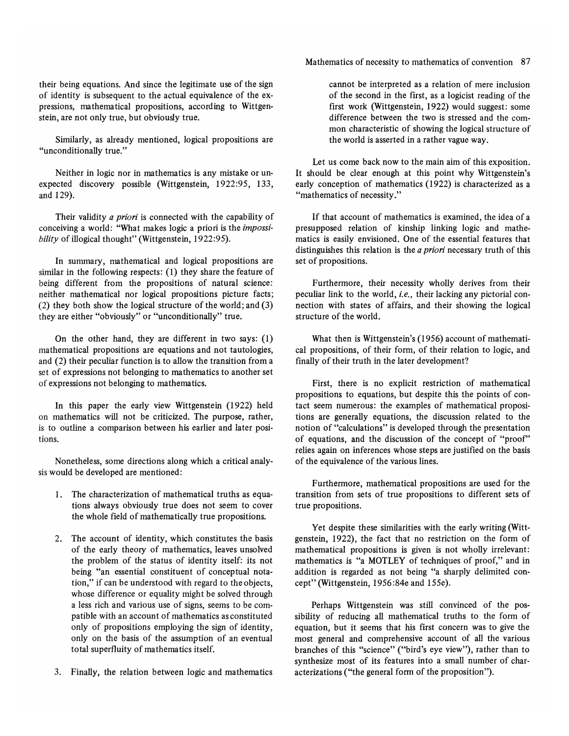their being equations. And since the legitimate use of the sign of identity is subsequent to the actual equivalence of the expressions, mathematical propositions, according to Wittgenstein, are not only true, but obviously true.

Similarly, as already mentioned, logical propositions are "unconditionally true."

Neither in logic nor in mathematics is any mistake or unexpected discovery possible (Wittgenstein, 1922:95, 133, and 129).

Their validity *a priori* is connected with the capability of conceiving a world: "What makes logic a priori is the *impossibility* of illogical thought" (Wittgenstein, 1922:95).

In summary, mathematical and logical propositions are similar in the following respects: (1) they share the feature of being different from the propositions of natural science: neither mathematical nor logical propositions picture facts; (2) they both show the logical structure of the world; and (3) they are either "obviously" or "unconditionally" true.

On the other hand, they are different in two says: (1) mathematical propositions are equations and not tautologies, and (2) their peculiar function is to allow the transition from a set of expressions not belonging to mathematics to another set of expressions not belonging to mathematics.

In this paper the early view Wittgenstein (1922) held on mathematics will not be criticized. The purpose, rather, is to outline a comparison between his earlier and later positions.

Nonetheless, some directions along which a critical analysis would be developed are mentioned:

- 1. The characterization of mathematical truths as equations always obviously true does not seem to cover the whole field of mathematically true propositions.
- 2. The account of identity, which constitutes the basis of the early theory of mathematics, leaves unsolved the problem of the status of identity itself: its not being "an essential constituent of conceptual notation," if can be understood with regard to the objects, whose difference or equality might be solved through a less rich and various use of signs, seems to be compatible with an account of mathematics as constituted only of propositions employing the sign of identity, only on the basis of the assumption of an eventual total superfluity of mathematics itself.
- 3. Finally, the relation between logic and mathematics

Mathematics of necessity to mathematics of convention 87

cannot be interpreted as a relation of mere inclusion of the second in the first, as a logicist reading of the first work (Wittgenstein, 1922) would suggest: some difference between the two is stressed and the common characteristic of showing the logical structure of the world is asserted in a rather vague way.

Let us come back now to the main aim of this exposition. It should be clear enough at this point why Wittgenstein's early conception of mathematics (1922) is characterized as a "mathematics of necessity."

If that account of mathematics is examined, the idea of a presupposed relation of kinship linking logic and mathematics is easily envisioned. One of the essential features that distinguishes this relation is the *a priori* necessary truth of this set of propositions.

Furthermore, their necessity wholly derives from their peculiar link to the world, *i.e.,* their lacking any pictorial connection with states of affairs, and their showing the logical structure of the world.

What then is Wittgenstein's (1956) account of mathematical propositions, of their form, of their relation to logic, and finally of their truth in the later development?

First, there is no explicit restriction of mathematical propositions to equations, but despite this the points of contact seem numerous: the examples of mathematical propositions are generally equations, the discussion related to the notion of "calculations" is developed through the presentation of equations, and the discussion of the concept of "proof" relies again on inferences whose steps are justified on the basis of the equivalence of the various lines.

Furthermore, mathematical propositions are used for the transition from sets of true propositions to different sets of true propositions.

Yet despite these similarities with the early writing (Wittgenstein, 1922), the fact that no restriction on the form of mathematical propositions is given is not wholly irrelevant: mathematics is "a MOTLEY of techniques of proof," and in addition is regarded as not being "a sharply delimited concept"(Wittgenstein, 1956:84eand 155e).

Perhaps Wittgenstein was still convinced of the possibility of reducing all mathematical truths to the form of equation, but it seems that his first concern was to give the most general and comprehensive account of all the various branches of this "science" ("bird's eye view"), rather than to synthesize most of its features into a small number of characterizations ("the general form of the proposition").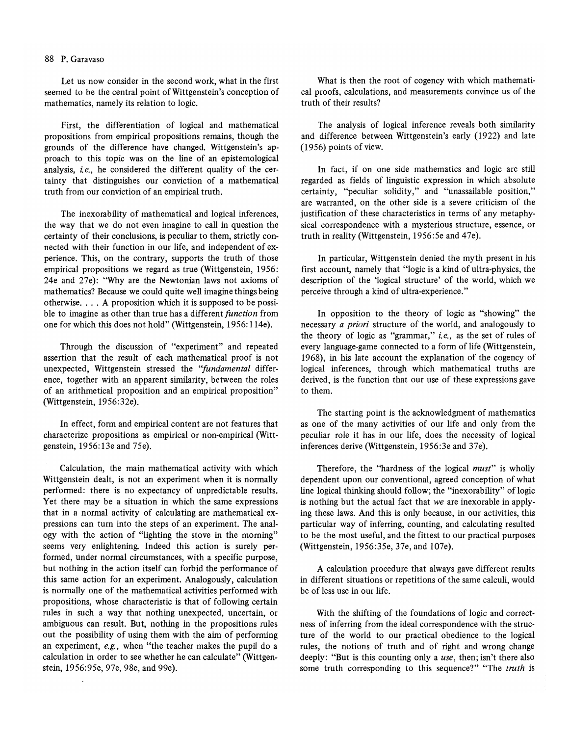#### 88 P. Garavaso

Let us now consider in the second work, what in the first seemed to be the central point of Wittgenstein's conception of mathematics, namely its relation to logic.

First, the differentiation of logical and mathematical propositions from empirical propositions remains, though the grounds of the difference have changed. Wittgenstein's approach to this topic was on the line of an epistemological analysis, *i.e.*, he considered the different quality of the certainty that distinguishes our conviction of a mathematical truth from our conviction of an empirical truth.

The inexorability of mathematical and logical inferences, the way that we do not even imagine to call in question the certainty of their conclusions, is peculiar to them, strictly connected with their function in our life, and independent of experience. This, on the contrary, supports the truth of those empirical propositions we regard as true (Wittgenstein, 1956: 24e and 27e): "Why are the Newtonian laws not axioms of mathematics? Because we could quite well imagine things being otherwise .... A proposition which it is supposed to be possible to imagine as other than true has a different *function* from one for which this does not hold" (Wittgenstein, 1956: l14e).

Through the discussion of "experiment" and repeated assertion that the result of each mathematical proof is not unexpected, Wittgenstein stressed the *"fundamental* difference, together with an apparent similarity, between the roles of an arithmetical proposition and an empirical proposition" (Wittgenstein, 1956:32e).

In effect, form and empirical content are not features that characterize propositions as empirical or non-empirical (Wittgenstein, 1956:13e and 75e).

Calculation, the main mathematical activity with which Wittgenstein dealt, is not an experiment when it is normally performed: there is no expectancy of unpredictable results. Yet there may be a situation in which the same expressions that in a normal activity of calculating are mathematical expressions can turn into the steps of an experiment. The analogy with the action of "lighting the stove in the morning" seems very enlightening. Indeed this action is surely performed, under normal circumstances, with a specific purpose, but nothing in the action itself can forbid the performance of this same action for an experiment. Analogously, calculation is normally one of the mathematical activities performed with propositions, whose characteristic is that of following certain rules in such a way that nothing unexpected, uncertain, or ambiguous can result. But, nothing in the propositions rules out the possibility of using them with the aim of performing an experiment, *e.g.,* when "the teacher makes the pupil do a calculation in order to see whether he can calculate" (Wittgenstein, 1956:95e, 97e, 98e, and 9ge).

What is then the root of cogency with which mathematical proofs, calculations, and measurements convince us of the truth of their results?

The analysis of logical inference reveals both similarity and difference between Wittgenstein's early (1922) and late (1956) points of view.

In fact, if on one side mathematics and logic are still regarded as fields of linguistic expression in which absolute certainty, "peculiar solidity," and "unassailable position," are warranted, on the other side is a severe criticism of the justification of these characteristics in terms of any metaphysical correspondence with a mysterious structure, essence, or truth in reality (Wittgenstein, 1956:5e and 47e).

In particular, Wittgenstein denied the myth present in his first account, namely that "logic is a kind of ultra-physics, the description of the 'logical structure' of the world, which we perceive through a kind of ultra-experience."

In opposition to the theory of logic as "showing" the necessary *a priori* structure of the world, and analogously to the theory of logic as "grammar," *i.e.,* as the set of rules of every language-game connected to a form of life (Wittgenstein, 1968), in his late account the explanation of the cogency of logical inferences, through which mathematical truths are derived, is the function that our use of these expressions gave to them.

The starting point is the acknowledgment of mathematics as one of the many activities of our life and only from the peculiar role it has in our life, does the necessity of logical inferences derive (Wittgenstein, 1956:3e and 37e).

Therefore, the "hardness of the logical *must"* is wholly dependent upon our conventional, agreed conception of what line logical thinking should follow; the "inexorability" of logic is nothing but the actual fact that we are inexorable in applying these laws. And this is only because, in our activities, this particular way of inferring, counting, and calculating resulted to be the most useful, and the fittest to our practical purposes (Wittgenstein, 1956:35e, 37e, and I07e).

A calculation procedure that always gave different results in different situations or repetitions of the same calculi, would be of less use in our life.

With the shifting of the foundations of logic and correctness of inferring from the ideal correspondence with the structure of the world to our practical obedience to the logical rules, the notions of truth and of right and wrong change deeply: "But is this counting only a *use,* then; isn't there also some truth corresponding to this sequence?" "The *truth* is